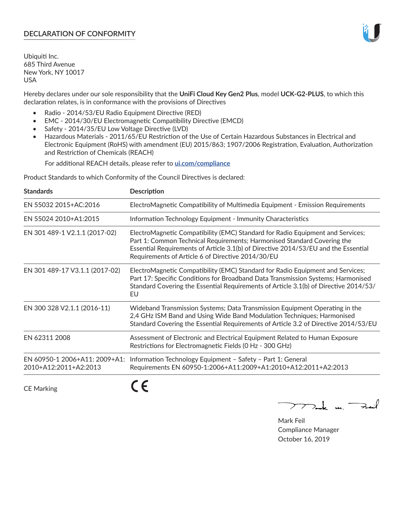# **DECLARATION OF CONFORMITY**

Ubiquiti Inc. 685 Third Avenue New York, NY 10017 USA

Hereby declares under our sole responsibility that the **UniFi Cloud Key Gen2 Plus**, model **UCK-G2-PLUS**, to which this declaration relates, is in conformance with the provisions of Directives

- Radio 2014/53/EU Radio Equipment Directive (RED)
- EMC 2014/30/EU Electromagnetic Compatibility Directive (EMCD)
- Safety 2014/35/EU Low Voltage Directive (LVD)
- Hazardous Materials 2011/65/EU Restriction of the Use of Certain Hazardous Substances in Electrical and Electronic Equipment (RoHS) with amendment (EU) 2015/863; 1907/2006 Registration, Evaluation, Authorization and Restriction of Chemicals (REACH)

For additional REACH details, please refer to **[ui.com/compliance](https://dl.ui.com/compliance/REACH_Compliance_Declaration.pdf)**

Product Standards to which Conformity of the Council Directives is declared:

| <b>Standards</b>                                       | <b>Description</b>                                                                                                                                                                                                                                                                                   |
|--------------------------------------------------------|------------------------------------------------------------------------------------------------------------------------------------------------------------------------------------------------------------------------------------------------------------------------------------------------------|
| EN 55032 2015+AC:2016                                  | ElectroMagnetic Compatibility of Multimedia Equipment - Emission Requirements                                                                                                                                                                                                                        |
| EN 55024 2010+A1:2015                                  | Information Technology Equipment - Immunity Characteristics                                                                                                                                                                                                                                          |
| EN 301 489-1 V2.1.1 (2017-02)                          | ElectroMagnetic Compatibility (EMC) Standard for Radio Equipment and Services;<br>Part 1: Common Technical Requirements; Harmonised Standard Covering the<br>Essential Requirements of Article 3.1(b) of Directive 2014/53/EU and the Essential<br>Requirements of Article 6 of Directive 2014/30/EU |
| EN 301 489-17 V3.1.1 (2017-02)                         | ElectroMagnetic Compatibility (EMC) Standard for Radio Equipment and Services;<br>Part 17: Specific Conditions for Broadband Data Transmission Systems; Harmonised<br>Standard Covering the Essential Requirements of Article 3.1(b) of Directive 2014/53/<br>EU                                     |
| EN 300 328 V2.1.1 (2016-11)                            | Wideband Transmission Systems; Data Transmission Equipment Operating in the<br>2,4 GHz ISM Band and Using Wide Band Modulation Techniques; Harmonised<br>Standard Covering the Essential Requirements of Article 3.2 of Directive 2014/53/EU                                                         |
| EN 62311 2008                                          | Assessment of Electronic and Electrical Equipment Related to Human Exposure<br>Restrictions for Electromagnetic Fields (0 Hz - 300 GHz)                                                                                                                                                              |
| EN 60950-1 2006+A11: 2009+A1:<br>2010+A12:2011+A2:2013 | Information Technology Equipment - Safety - Part 1: General<br>Requirements EN 60950-1:2006+A11:2009+A1:2010+A12:2011+A2:2013                                                                                                                                                                        |
|                                                        |                                                                                                                                                                                                                                                                                                      |

CE Marking

CE

 $\sum$  and  $\sum_{i=1}^{n}$ 

Mark Feil Compliance Manager October 16, 2019

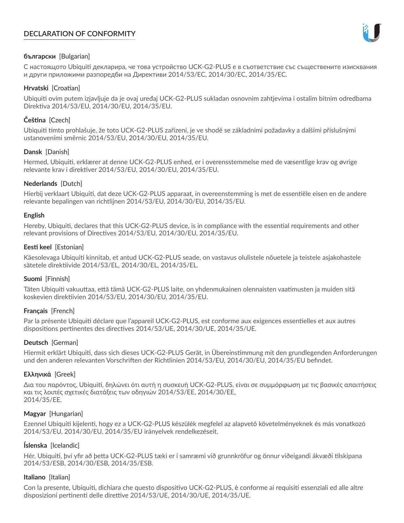# **DECLARATION OF CONFORMITY**



# **български** [Bulgarian]

С настоящото Ubiquiti декларира, че това устройство UCK-G2-PLUS е в съответствие със съществените изисквания и други приложими разпоредби на Директиви 2014/53/EC, 2014/30/ЕС, 2014/35/ЕС.

## **Hrvatski** [Croatian]

Ubiquiti ovim putem izjavljuje da je ovaj uređaj UCK-G2-PLUS sukladan osnovnim zahtjevima i ostalim bitnim odredbama Direktiva 2014/53/EU, 2014/30/EU, 2014/35/EU.

# **Čeština** [Czech]

Ubiquiti tímto prohlašuje, že toto UCK-G2-PLUS zařízení, je ve shodě se základními požadavky a dalšími příslušnými ustanoveními směrnic 2014/53/EU, 2014/30/EU, 2014/35/EU.

# **Dansk** [Danish]

Hermed, Ubiquiti, erklærer at denne UCK-G2-PLUS enhed, er i overensstemmelse med de væsentlige krav og øvrige relevante krav i direktiver 2014/53/EU, 2014/30/EU, 2014/35/EU.

# **Nederlands** [Dutch]

Hierbij verklaart Ubiquiti, dat deze UCK-G2-PLUS apparaat, in overeenstemming is met de essentiële eisen en de andere relevante bepalingen van richtlijnen 2014/53/EU, 2014/30/EU, 2014/35/EU.

## **English**

Hereby, Ubiquiti, declares that this UCK-G2-PLUS device, is in compliance with the essential requirements and other relevant provisions of Directives 2014/53/EU, 2014/30/EU, 2014/35/EU.

# **Eesti keel** [Estonian]

Käesolevaga Ubiquiti kinnitab, et antud UCK-G2-PLUS seade, on vastavus olulistele nõuetele ja teistele asjakohastele sätetele direktiivide 2014/53/EL, 2014/30/EL, 2014/35/EL.

## **Suomi** [Finnish]

Täten Ubiquiti vakuuttaa, että tämä UCK-G2-PLUS laite, on yhdenmukainen olennaisten vaatimusten ja muiden sitä koskevien direktiivien 2014/53/EU, 2014/30/EU, 2014/35/EU.

## **Français** [French]

Par la présente Ubiquiti déclare que l'appareil UCK-G2-PLUS, est conforme aux exigences essentielles et aux autres dispositions pertinentes des directives 2014/53/UE, 2014/30/UE, 2014/35/UE.

## **Deutsch** [German]

Hiermit erklärt Ubiquiti, dass sich dieses UCK-G2-PLUS Gerät, in Übereinstimmung mit den grundlegenden Anforderungen und den anderen relevanten Vorschriften der Richtlinien 2014/53/EU, 2014/30/EU, 2014/35/EU befindet.

## **Ελληνικά** [Greek]

Δια του παρόντος, Ubiquiti, δηλώνει ότι αυτή η συσκευή UCK-G2-PLUS, είναι σε συμμόρφωση με τις βασικές απαιτήσεις και τις λοιπές σχετικές διατάξεις των οδηγιών 2014/53/EE, 2014/30/EE, 2014/35/EE.

## **Magyar** [Hungarian]

Ezennel Ubiquiti kijelenti, hogy ez a UCK-G2-PLUS készülék megfelel az alapvető követelményeknek és más vonatkozó 2014/53/EU, 2014/30/EU, 2014/35/EU irányelvek rendelkezéseit.

## **Íslenska** [Icelandic]

Hér, Ubiquiti, því yfir að þetta UCK-G2-PLUS tæki er í samræmi við grunnkröfur og önnur viðeigandi ákvæði tilskipana 2014/53/ESB, 2014/30/ESB, 2014/35/ESB.

## **Italiano** [Italian]

Con la presente, Ubiquiti, dichiara che questo dispositivo UCK-G2-PLUS, è conforme ai requisiti essenziali ed alle altre disposizioni pertinenti delle direttive 2014/53/UE, 2014/30/UE, 2014/35/UE.